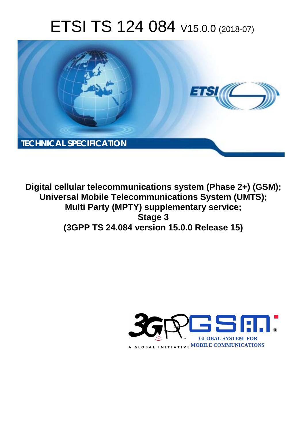# ETSI TS 124 084 V15.0.0 (2018-07)



**Digital cellular telecommunications system (Phase 2+) (GSM); Universal Mobile Telecommunications System (UMTS); Multi Party (MPTY) supplementary service; Stage 3 (3GPP TS 24.084 version 15.0.0 Release 15)** 

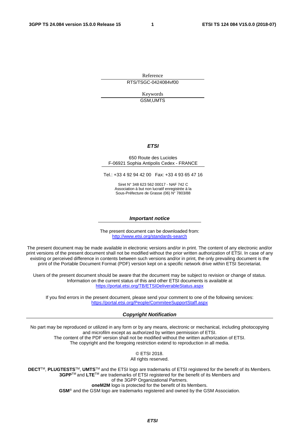Reference RTS/TSGC-0424084vf00

> Keywords GSM,UMTS

#### *ETSI*

#### 650 Route des Lucioles F-06921 Sophia Antipolis Cedex - FRANCE

Tel.: +33 4 92 94 42 00 Fax: +33 4 93 65 47 16

Siret N° 348 623 562 00017 - NAF 742 C Association à but non lucratif enregistrée à la Sous-Préfecture de Grasse (06) N° 7803/88

#### *Important notice*

The present document can be downloaded from: <http://www.etsi.org/standards-search>

The present document may be made available in electronic versions and/or in print. The content of any electronic and/or print versions of the present document shall not be modified without the prior written authorization of ETSI. In case of any existing or perceived difference in contents between such versions and/or in print, the only prevailing document is the print of the Portable Document Format (PDF) version kept on a specific network drive within ETSI Secretariat.

Users of the present document should be aware that the document may be subject to revision or change of status. Information on the current status of this and other ETSI documents is available at <https://portal.etsi.org/TB/ETSIDeliverableStatus.aspx>

If you find errors in the present document, please send your comment to one of the following services: <https://portal.etsi.org/People/CommiteeSupportStaff.aspx>

#### *Copyright Notification*

No part may be reproduced or utilized in any form or by any means, electronic or mechanical, including photocopying and microfilm except as authorized by written permission of ETSI. The content of the PDF version shall not be modified without the written authorization of ETSI. The copyright and the foregoing restriction extend to reproduction in all media.

> © ETSI 2018. All rights reserved.

**DECT**TM, **PLUGTESTS**TM, **UMTS**TM and the ETSI logo are trademarks of ETSI registered for the benefit of its Members. **3GPP**TM and **LTE**TM are trademarks of ETSI registered for the benefit of its Members and of the 3GPP Organizational Partners. **oneM2M** logo is protected for the benefit of its Members.

**GSM**® and the GSM logo are trademarks registered and owned by the GSM Association.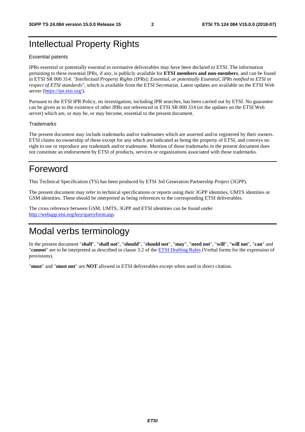### Intellectual Property Rights

#### Essential patents

IPRs essential or potentially essential to normative deliverables may have been declared to ETSI. The information pertaining to these essential IPRs, if any, is publicly available for **ETSI members and non-members**, and can be found in ETSI SR 000 314: *"Intellectual Property Rights (IPRs); Essential, or potentially Essential, IPRs notified to ETSI in respect of ETSI standards"*, which is available from the ETSI Secretariat. Latest updates are available on the ETSI Web server ([https://ipr.etsi.org/\)](https://ipr.etsi.org/).

Pursuant to the ETSI IPR Policy, no investigation, including IPR searches, has been carried out by ETSI. No guarantee can be given as to the existence of other IPRs not referenced in ETSI SR 000 314 (or the updates on the ETSI Web server) which are, or may be, or may become, essential to the present document.

#### **Trademarks**

The present document may include trademarks and/or tradenames which are asserted and/or registered by their owners. ETSI claims no ownership of these except for any which are indicated as being the property of ETSI, and conveys no right to use or reproduce any trademark and/or tradename. Mention of those trademarks in the present document does not constitute an endorsement by ETSI of products, services or organizations associated with those trademarks.

### Foreword

This Technical Specification (TS) has been produced by ETSI 3rd Generation Partnership Project (3GPP).

The present document may refer to technical specifications or reports using their 3GPP identities, UMTS identities or GSM identities. These should be interpreted as being references to the corresponding ETSI deliverables.

The cross reference between GSM, UMTS, 3GPP and ETSI identities can be found under [http://webapp.etsi.org/key/queryform.asp.](http://webapp.etsi.org/key/queryform.asp)

### Modal verbs terminology

In the present document "**shall**", "**shall not**", "**should**", "**should not**", "**may**", "**need not**", "**will**", "**will not**", "**can**" and "**cannot**" are to be interpreted as described in clause 3.2 of the [ETSI Drafting Rules](https://portal.etsi.org/Services/editHelp!/Howtostart/ETSIDraftingRules.aspx) (Verbal forms for the expression of provisions).

"**must**" and "**must not**" are **NOT** allowed in ETSI deliverables except when used in direct citation.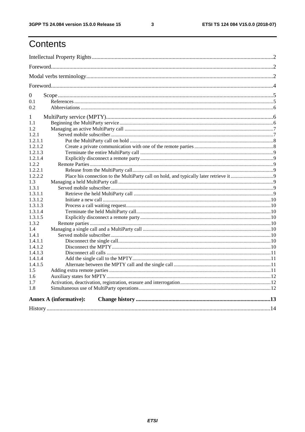$\mathbf{3}$ 

# Contents

| $\overline{0}$ |                               |  |
|----------------|-------------------------------|--|
| 0.1            |                               |  |
| 0.2            |                               |  |
| 1              |                               |  |
| 1.1            |                               |  |
| 1.2            |                               |  |
| 1.2.1          |                               |  |
| 1.2.1.1        |                               |  |
| 1.2.1.2        |                               |  |
| 1.2.1.3        |                               |  |
| 1.2.1.4        |                               |  |
| 1.2.2          |                               |  |
| 1.2.2.1        |                               |  |
| 1.2.2.2        |                               |  |
| 1.3            |                               |  |
| 1.3.1          |                               |  |
| 1.3.1.1        |                               |  |
| 1.3.1.2        |                               |  |
| 1.3.1.3        |                               |  |
| 1.3.1.4        |                               |  |
| 1.3.1.5        |                               |  |
| 1.3.2          |                               |  |
| $1.4^{\circ}$  |                               |  |
| 1.4.1          |                               |  |
| 1.4.1.1        |                               |  |
| 1.4.1.2        |                               |  |
| 1.4.1.3        |                               |  |
| 1.4.1.4        |                               |  |
| 1.4.1.5        |                               |  |
| 1.5            |                               |  |
| 1.6            |                               |  |
| 1.7            |                               |  |
| 1.8            |                               |  |
|                | <b>Annex A (informative):</b> |  |
|                |                               |  |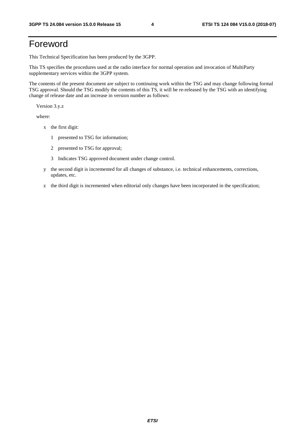### Foreword

This Technical Specification has been produced by the 3GPP.

This TS specifies the procedures used at the radio interface for normal operation and invocation of MultiParty supplementary services within the 3GPP system.

The contents of the present document are subject to continuing work within the TSG and may change following formal TSG approval. Should the TSG modify the contents of this TS, it will be re-released by the TSG with an identifying change of release date and an increase in version number as follows:

Version 3.y.z

where:

- x the first digit:
	- 1 presented to TSG for information;
	- 2 presented to TSG for approval;
	- 3 Indicates TSG approved document under change control.
- y the second digit is incremented for all changes of substance, i.e. technical enhancements, corrections, updates, etc.
- z the third digit is incremented when editorial only changes have been incorporated in the specification;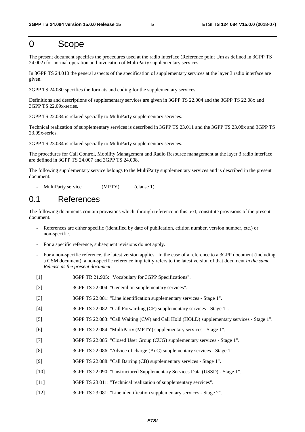### 0 Scope

The present document specifies the procedures used at the radio interface (Reference point Um as defined in 3GPP TS 24.002) for normal operation and invocation of MultiParty supplementary services.

In 3GPP TS 24.010 the general aspects of the specification of supplementary services at the layer 3 radio interface are given.

3GPP TS 24.080 specifies the formats and coding for the supplementary services.

Definitions and descriptions of supplementary services are given in 3GPP TS 22.004 and the 3GPP TS 22.08x and 3GPP TS 22.09x-series.

3GPP TS 22.084 is related specially to MultiParty supplementary services.

Technical realization of supplementary services is described in 3GPP TS 23.011 and the 3GPP TS 23.08x and 3GPP TS 23.09x-series.

3GPP TS 23.084 is related specially to MultiParty supplementary services.

The procedures for Call Control, Mobility Management and Radio Resource management at the layer 3 radio interface are defined in 3GPP TS 24.007 and 3GPP TS 24.008.

The following supplementary service belongs to the MultiParty supplementary services and is described in the present document:

MultiParty service (MPTY) (clause 1).

### 0.1 References

The following documents contain provisions which, through reference in this text, constitute provisions of the present document.

- References are either specific (identified by date of publication, edition number, version number, etc.) or non-specific.
- For a specific reference, subsequent revisions do not apply.
- For a non-specific reference, the latest version applies. In the case of a reference to a 3GPP document (including a GSM document), a non-specific reference implicitly refers to the latest version of that document *in the same Release as the present document*.
- [1] 3GPP TR 21.905: "Vocabulary for 3GPP Specifications".
- [2] 3GPP TS 22.004: "General on supplementary services".
- [3] 3GPP TS 22.081: "Line identification supplementary services Stage 1".
- [4] 3GPP TS 22.082: "Call Forwarding (CF) supplementary services Stage 1".
- [5] 3GPP TS 22.083: "Call Waiting (CW) and Call Hold (HOLD) supplementary services Stage 1".
- [6] 3GPP TS 22.084: "MultiParty (MPTY) supplementary services Stage 1".
- [7] 3GPP TS 22.085: "Closed User Group (CUG) supplementary services Stage 1".
- [8] 3GPP TS 22.086: "Advice of charge (AoC) supplementary services Stage 1".
- [9] 3GPP TS 22.088: "Call Barring (CB) supplementary services Stage 1".
- [10] 3GPP TS 22.090: "Unstructured Supplementary Services Data (USSD) Stage 1".
- [11] 3GPP TS 23.011: "Technical realization of supplementary services".
- [12] 3GPP TS 23.081: "Line identification supplementary services Stage 2".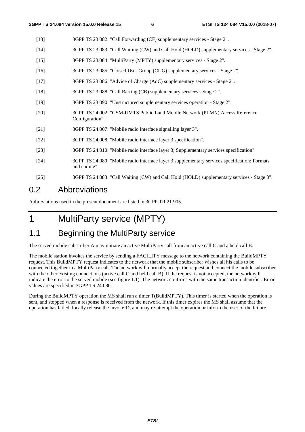- [13] 3GPP TS 23.082: "Call Forwarding (CF) supplementary services Stage 2".
- [14] 3GPP TS 23.083: "Call Waiting (CW) and Call Hold (HOLD) supplementary services Stage 2".
- [15] 3GPP TS 23.084: "MultiParty (MPTY) supplementary services Stage 2".
- [16] 3GPP TS 23.085: "Closed User Group (CUG) supplementary services Stage 2".
- [17] 3GPP TS 23.086: "Advice of Charge (AoC) supplementary services Stage 2".
- [18] 3GPP TS 23.088: "Call Barring (CB) supplementary services Stage 2".
- [19] 3GPP TS 23.090: "Unstructured supplementary services operation Stage 2".
- [20] 3GPP TS 24.002: "GSM-UMTS Public Land Mobile Network (PLMN) Access Reference Configuration".
- [21] 3GPP TS 24.007: "Mobile radio interface signalling layer 3".
- [22] 3GPP TS 24.008: "Mobile radio interface layer 3 specification".
- [23] 3GPP TS 24.010: "Mobile radio interface layer 3; Supplementary services specification".
- [24] 3GPP TS 24.080: "Mobile radio interface layer 3 supplementary services specification; Formats and coding".
- [25] 3GPP TS 24.083: "Call Waiting (CW) and Call Hold (HOLD) supplementary services Stage 3".

### 0.2 Abbreviations

Abbreviations used in the present document are listed in 3GPP TR 21.905.

# 1 MultiParty service (MPTY)

### 1.1 Beginning the MultiParty service

The served mobile subscriber A may initiate an active MultiParty call from an active call C and a held call B.

The mobile station invokes the service by sending a FACILITY message to the network containing the BuildMPTY request. This BuildMPTY request indicates to the network that the mobile subscriber wishes all his calls to be connected together in a MultiParty call. The network will normally accept the request and connect the mobile subscriber with the other existing connections (active call C and held call B). If the request is not accepted, the network will indicate the error to the served mobile (see figure 1.1). The network confirms with the same transaction identifier. Error values are specified in 3GPP TS 24.080.

During the BuildMPTY operation the MS shall run a timer T(BuildMPTY). This timer is started when the operation is sent, and stopped when a response is received from the network. If this timer expires the MS shall assume that the operation has failed, locally release the invokeID, and may re-attempt the operation or inform the user of the failure.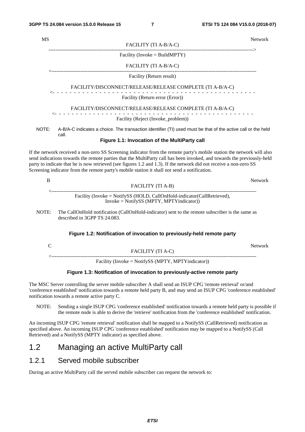| <b>MS</b> |                                                                                                                                                                                                                                                                                                                                                                                                                                                                        | Network |
|-----------|------------------------------------------------------------------------------------------------------------------------------------------------------------------------------------------------------------------------------------------------------------------------------------------------------------------------------------------------------------------------------------------------------------------------------------------------------------------------|---------|
|           | FACILITY (TI A-B/A-C)                                                                                                                                                                                                                                                                                                                                                                                                                                                  |         |
|           | Facility (Invoke = BuildMPTY)                                                                                                                                                                                                                                                                                                                                                                                                                                          |         |
|           | FACILITY (TI A-B/A-C)                                                                                                                                                                                                                                                                                                                                                                                                                                                  |         |
|           | Facility (Return result)                                                                                                                                                                                                                                                                                                                                                                                                                                               |         |
|           | FACILITY/DISCONNECT/RELEASE/RELEASE COMPLETE (TI A-B/A-C)                                                                                                                                                                                                                                                                                                                                                                                                              |         |
|           | Facility (Return error (Error))                                                                                                                                                                                                                                                                                                                                                                                                                                        |         |
|           | FACILITY/DISCONNECT/RELEASE/RELEASE COMPLETE (TI A-B/A-C)                                                                                                                                                                                                                                                                                                                                                                                                              |         |
|           | Facility (Reject (Invoke_problem))                                                                                                                                                                                                                                                                                                                                                                                                                                     |         |
| NOTE:     | A-B/A-C indicates a choice. The transaction identifier (TI) used must be that of the active call or the held<br>call.                                                                                                                                                                                                                                                                                                                                                  |         |
|           | Figure 1.1: Invocation of the MultiParty call                                                                                                                                                                                                                                                                                                                                                                                                                          |         |
|           | If the network received a non-zero SS Screening indicator from the remote party's mobile station the network will also<br>send indications towards the remote parties that the MultiParty call has been invoked, and towards the previously-held<br>party to indicate that he is now retrieved (see figures 1.2 and 1.3). If the network did not receive a non-zero SS<br>Screening indicator from the remote party's mobile station it shall not send a notification. |         |
| B         | FACILITY (TI A-B)                                                                                                                                                                                                                                                                                                                                                                                                                                                      | Network |
|           | Facility (Invoke = NotifySS (HOLD, CallOnHold-indicator(CallRetrieved),                                                                                                                                                                                                                                                                                                                                                                                                |         |

Invoke = NotifySS (MPTY, MPTYindicator))

NOTE: The CallOnHold notification (CallOnHold-indicator) sent to the remote subscriber is the same as described in 3GPP TS 24.083.

#### **Figure 1.2: Notification of invocation to previously-held remote party**

|                                                    | Network |
|----------------------------------------------------|---------|
| FACILITY (TI A-C)                                  |         |
|                                                    |         |
| Facility (Invoke = NotifySS (MPTY, MPTYindicator)) |         |

#### **Figure 1.3: Notification of invocation to previously-active remote party**

The MSC Server controlling the server mobile subscriber A shall send an ISUP CPG 'remote retrieval' or/and 'conference established' notification towards a remote held party B, and may send an ISUP CPG 'conference established' notification towards a remote active party C.

NOTE: Sending a single ISUP CPG 'conference established' notification towards a remote held party is possible if the remote node is able to derive the 'retrieve' notification from the 'conference established' notification.

An incoming ISUP CPG 'remote retrieval' notification shall be mapped to a NotifySS (CallRetrieved) notification as specified above. An incoming ISUP CPG 'conference established' notification may be mapped to a NotifySS (Call Retrieved) and a NotifySS (MPTY indicator) as specified above.

### 1.2 Managing an active MultiParty call

#### 1.2.1 Served mobile subscriber

During an active MultiParty call the served mobile subscriber can request the network to:

*ETSI*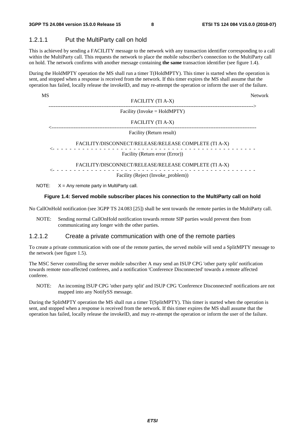#### 1.2.1.1 Put the MultiParty call on hold

This is achieved by sending a FACILITY message to the network with any transaction identifier corresponding to a call within the MultiParty call. This requests the network to place the mobile subscriber's connection to the MultiParty call on hold. The network confirms with another message containing **the same** transaction identifier (see figure 1.4).

During the HoldMPTY operation the MS shall run a timer T(HoldMPTY). This timer is started when the operation is sent, and stopped when a response is received from the network. If this timer expires the MS shall assume that the operation has failed, locally release the invokeID, and may re-attempt the operation or inform the user of the failure.

| MS |                                                       | <b>Network</b> |
|----|-------------------------------------------------------|----------------|
|    | FACILITY (TI A-X)                                     |                |
|    | Facility (Invoke = $HoldMPTY$ )                       |                |
|    | FACILITY (TI A-X)                                     |                |
|    | Facility (Return result)                              |                |
|    | FACILITY/DISCONNECT/RELEASE/RELEASE COMPLETE (TI A-X) |                |
|    | Facility (Return error (Error))                       |                |
|    | FACILITY/DISCONNECT/RELEASE/RELEASE COMPLETE (TI A-X) |                |
|    | Facility (Reject (Invoke_problem))                    |                |
|    |                                                       |                |

NOTE:  $X = Any$  remote party in MultiParty call.

#### **Figure 1.4: Served mobile subscriber places his connection to the MultiParty call on hold**

No CallOnHold notification (see 3GPP TS 24.083 [25]) shall be sent towards the remote parties in the MultiParty call.

NOTE: Sending normal CallOnHold notification towards remote SIP parties would prevent then from communicating any longer with the other parties.

#### 1.2.1.2 Create a private communication with one of the remote parties

To create a private communication with one of the remote parties, the served mobile will send a SplitMPTY message to the network (see figure 1.5).

The MSC Server controlling the server mobile subscriber A may send an ISUP CPG 'other party split' notification towards remote non-affected conferees, and a notification 'Conference Disconnected' towards a remote affected conferee.

NOTE: An incoming ISUP CPG 'other party split' and ISUP CPG 'Conference Disconnected' notifications are not mapped into any NotifySS message.

During the SplitMPTY operation the MS shall run a timer T(SplitMPTY). This timer is started when the operation is sent, and stopped when a response is received from the network. If this timer expires the MS shall assume that the operation has failed, locally release the invokeID, and may re-attempt the operation or inform the user of the failure.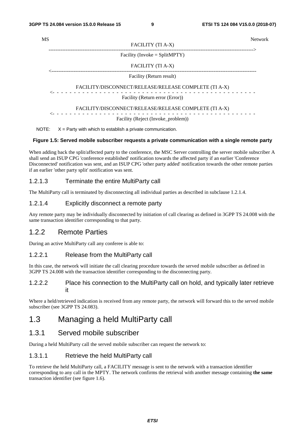| <b>MS</b> |                                                                    | <b>Network</b> |
|-----------|--------------------------------------------------------------------|----------------|
|           | FACILITY (TI A-X)                                                  |                |
|           | Facility (Invoke = $SplitMPTY$ )                                   |                |
|           | FACILITY (TI A-X)                                                  |                |
|           | Facility (Return result)                                           |                |
|           | FACILITY/DISCONNECT/RELEASE/RELEASE COMPLETE (TI A-X)              |                |
|           | Facility (Return error (Error))                                    |                |
|           | FACILITY/DISCONNECT/RELEASE/RELEASE COMPLETE (TI A-X)              |                |
|           | Facility (Reject (Invoke_problem))                                 |                |
|           | NOTE: $X =$ Party with which to establish a private communication. |                |

#### **Figure 1.5: Served mobile subscriber requests a private communication with a single remote party**

When adding back the split/affected party to the conference, the MSC Server controlling the server mobile subscriber A shall send an ISUP CPG 'conference established' notification towards the affected party if an earlier 'Conference Disconnected' notification was sent, and an ISUP CPG 'other party added' notification towards the other remote parties if an earlier 'other party split' notification was sent.

#### 1.2.1.3 Terminate the entire MultiParty call

The MultiParty call is terminated by disconnecting all individual parties as described in subclause 1.2.1.4.

#### 1.2.1.4 Explicitly disconnect a remote party

Any remote party may be individually disconnected by initiation of call clearing as defined in 3GPP TS 24.008 with the same transaction identifier corresponding to that party.

#### 1.2.2 Remote Parties

During an active MultiParty call any conferee is able to:

#### 1.2.2.1 Release from the MultiParty call

In this case, the network will initiate the call clearing procedure towards the served mobile subscriber as defined in 3GPP TS 24.008 with the transaction identifier corresponding to the disconnecting party.

#### 1.2.2.2 Place his connection to the MultiParty call on hold, and typically later retrieve it

Where a held/retrieved indication is received from any remote party, the network will forward this to the served mobile subscriber (see 3GPP TS 24.083).

### 1.3 Managing a held MultiParty call

#### 1.3.1 Served mobile subscriber

During a held MultiParty call the served mobile subscriber can request the network to:

#### 1.3.1.1 Retrieve the held MultiParty call

To retrieve the held MultiParty call, a FACILITY message is sent to the network with a transaction identifier corresponding to any call in the MPTY. The network confirms the retrieval with another message containing **the same** transaction identifier (see figure 1.6).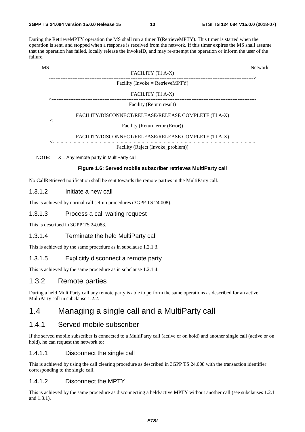During the RetrieveMPTY operation the MS shall run a timer T(RetrieveMPTY). This timer is started when the operation is sent, and stopped when a response is received from the network. If this timer expires the MS shall assume that the operation has failed, locally release the invokeID, and may re-attempt the operation or inform the user of the failure.

| MS    |                                                                | <b>Network</b> |
|-------|----------------------------------------------------------------|----------------|
|       | FACILITY (TI A-X)                                              |                |
|       | Facility (Invoke = RetrieveMPTY)                               |                |
|       | FACILITY (TI A-X)                                              |                |
|       | Facility (Return result)                                       |                |
|       | FACILITY/DISCONNECT/RELEASE/RELEASE COMPLETE (TI A-X)          |                |
|       | Facility (Return error (Error))                                |                |
|       | FACILITY/DISCONNECT/RELEASE/RELEASE COMPLETE (TI A-X)          |                |
|       | Facility (Reject (Invoke_problem))                             |                |
| NOTE: | $X =$ Any remote party in MultiParty call.                     |                |
|       | Figure 1.6: Served mobile subscriber retrieves MultiParty call |                |

No CallRetrieved notification shall be sent towards the remote parties in the MultiParty call.

#### 1.3.1.2 Initiate a new call

This is achieved by normal call set-up procedures (3GPP TS 24.008).

#### 1.3.1.3 Process a call waiting request

This is described in 3GPP TS 24.083.

#### 1.3.1.4 Terminate the held MultiParty call

This is achieved by the same procedure as in subclause 1.2.1.3.

#### 1.3.1.5 Explicitly disconnect a remote party

This is achieved by the same procedure as in subclause 1.2.1.4.

#### 1.3.2 Remote parties

During a held MultiParty call any remote party is able to perform the same operations as described for an active MultiParty call in subclause 1.2.2.

### 1.4 Managing a single call and a MultiParty call

#### 1.4.1 Served mobile subscriber

If the served mobile subscriber is connected to a MultiParty call (active or on hold) and another single call (active or on hold), he can request the network to:

#### 1.4.1.1 Disconnect the single call

This is achieved by using the call clearing procedure as described in 3GPP TS 24.008 with the transaction identifier corresponding to the single call.

#### 1.4.1.2 Disconnect the MPTY

This is achieved by the same procedure as disconnecting a held/active MPTY without another call (see subclauses 1.2.1 and 1.3.1).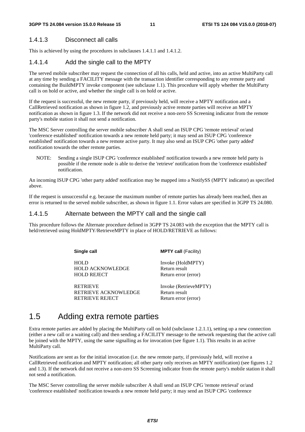#### 1.4.1.3 Disconnect all calls

This is achieved by using the procedures in subclauses 1.4.1.1 and 1.4.1.2.

#### 1.4.1.4 Add the single call to the MPTY

The served mobile subscriber may request the connection of all his calls, held and active, into an active MultiParty call at any time by sending a FACILITY message with the transaction identifier corresponding to any remote party and containing the BuildMPTY invoke component (see subclause 1.1). This procedure will apply whether the MultiParty call is on hold or active, and whether the single call is on hold or active.

If the request is successful, the new remote party, if previously held, will receive a MPTY notification and a CallRetrieved notification as shown in figure 1.2, and previously active remote parties will receive an MPTY notification as shown in figure 1.3. If the network did not receive a non-zero SS Screening indicator from the remote party's mobile station it shall not send a notification.

The MSC Server controlling the server mobile subscriber A shall send an ISUP CPG 'remote retrieval' or/and 'conference established' notification towards a new remote held party; it may send an ISUP CPG 'conference established' notification towards a new remote active party. It may also send an ISUP CPG 'other party added' notification towards the other remote parties.

NOTE: Sending a single ISUP CPG 'conference established' notification towards a new remote held party is possible if the remote node is able to derive the 'retrieve' notification from the 'conference established' notification.

An incoming ISUP CPG 'other party added' notification may be mapped into a NotifySS (MPTY indicator) as specified above.

If the request is unsuccessful e.g. because the maximum number of remote parties has already been reached, then an error is returned to the served mobile subscriber, as shown in figure 1.1. Error values are specified in 3GPP TS 24.080.

#### 1.4.1.5 Alternate between the MPTY call and the single call

This procedure follows the Alternate procedure defined in 3GPP TS 24.083 with the exception that the MPTY call is held/retrieved using HoldMPTY/RetrieveMPTY in place of HOLD/RETRIEVE as follows:

| Single call                            | <b>MPTY call (Facility)</b>        |
|----------------------------------------|------------------------------------|
| <b>HOLD</b><br><b>HOLD ACKNOWLEDGE</b> | Invoke (HoldMPTY)<br>Return result |
| <b>HOLD REJECT</b>                     | Return error (error)               |
| <b>RETRIEVE</b>                        | Invoke (RetrieveMPTY)              |
| RETRIEVE ACKNOWLEDGE                   | Return result                      |
| RETRIEVE REJECT                        | Return error (error)               |

### 1.5 Adding extra remote parties

Extra remote parties are added by placing the MultiParty call on hold (subclause 1.2.1.1), setting up a new connection (either a new call or a waiting call) and then sending a FACILITY message to the network requesting that the active call be joined with the MPTY, using the same signalling as for invocation (see figure 1.1). This results in an active MultiParty call.

Notifications are sent as for the initial invocation (i.e. the new remote party, if previously held, will receive a CallRetrieved notification and MPTY notification; all other party only receives an MPTY notification) (see figures 1.2 and 1.3). If the network did not receive a non-zero SS Screening indicator from the remote party's mobile station it shall not send a notification.

The MSC Server controlling the server mobile subscriber A shall send an ISUP CPG 'remote retrieval' or/and 'conference established' notification towards a new remote held party; it may send an ISUP CPG 'conference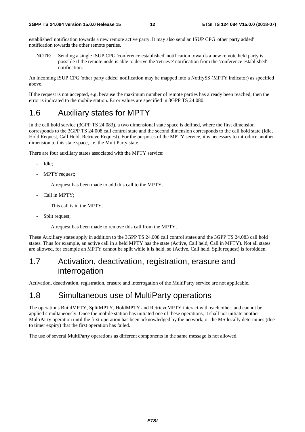established' notification towards a new remote active party. It may also send an ISUP CPG 'other party added' notification towards the other remote parties.

NOTE: Sending a single ISUP CPG 'conference established' notification towards a new remote held party is possible if the remote node is able to derive the 'retrieve' notification from the 'conference established' notification.

An incoming ISUP CPG 'other party added' notification may be mapped into a NotifySS (MPTY indicator) as specified above.

If the request is not accepted, e.g. because the maximum number of remote parties has already been reached, then the error is indicated to the mobile station. Error values are specified in 3GPP TS 24.080.

### 1.6 Auxiliary states for MPTY

In the call hold service (3GPP TS 24.083), a two dimensional state space is defined, where the first dimension corresponds to the 3GPP TS 24.008 call control state and the second dimension corresponds to the call hold state (Idle, Hold Request, Call Held, Retrieve Request). For the purposes of the MPTY service, it is necessary to introduce another dimension to this state space, i.e. the MultiParty state.

There are four auxiliary states associated with the MPTY service:

- Idle;
- MPTY request;

A request has been made to add this call to the MPTY.

Call in MPTY;

This call is in the MPTY.

Split request:

A request has been made to remove this call from the MPTY.

These Auxiliary states apply in addition to the 3GPP TS 24.008 call control states and the 3GPP TS 24.083 call hold states. Thus for example, an active call in a held MPTY has the state (Active, Call held, Call in MPTY). Not all states are allowed, for example an MPTY cannot be split while it is held, so (Active, Call held, Split request) is forbidden.

### 1.7 Activation, deactivation, registration, erasure and interrogation

Activation, deactivation, registration, erasure and interrogation of the MultiParty service are not applicable.

### 1.8 Simultaneous use of MultiParty operations

The operations BuildMPTY, SplitMPTY, HoldMPTY and RetrieveMPTY interact with each other, and cannot be applied simultaneously. Once the mobile station has initiated one of these operations, it shall not initiate another MultiParty operation until the first operation has been acknowledged by the network, or the MS locally determines (due to timer expiry) that the first operation has failed.

The use of several MultiParty operations as different components in the same message is not allowed.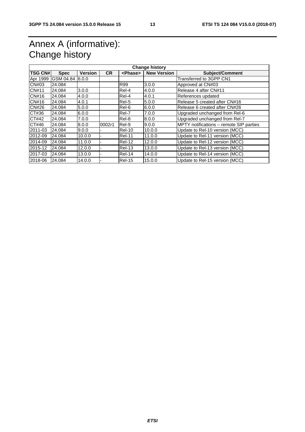## Annex A (informative): Change history

| <b>Change history</b> |                   |                |           |                 |                    |                                         |
|-----------------------|-------------------|----------------|-----------|-----------------|--------------------|-----------------------------------------|
| <b>TSG CN#</b>        | <b>Spec</b>       | <b>Version</b> | <b>CR</b> | <phase></phase> | <b>New Version</b> | <b>Subject/Comment</b>                  |
| Apr 1999              | IGSM 04.84 I6.0.0 |                |           |                 |                    | Transferred to 3GPP CN1                 |
| CN#03                 | 24.084            |                |           | <b>R99</b>      | 3.0.0              | Approved at CN#03                       |
| <b>CN#11</b>          | 24.084            | 3.0.0          |           | Rel-4           | 4.0.0              | Release 4 after CN#11                   |
| CN#16                 | 24.084            | 4.0.0          |           | Rel-4           | 4.0.1              | References updated                      |
| CN#16                 | 24.084            | 4.0.1          |           | Rel-5           | 5.0.0              | Release 5 created after CN#16           |
| CN#26                 | 24.084            | 5.0.0          |           | Rel-6           | 6.0.0              | Release 6 created after CN#26           |
| CT#36                 | 24.084            | 6.0.0          |           | Rel-7           | 7.0.0              | Upgraded unchanged from Rel-6           |
| CT#42                 | 24.084            | 7.0.0          |           | Rel-8           | 8.0.0              | Upgraded unchanged from Rel-7           |
| CT#46                 | 24.084            | 8.0.0          | 0002r1    | Rel-9           | 9.0.0              | MPTY notifications - remote SIP parties |
| 2011-03               | 24.084            | 9.0.0          |           | <b>Rel-10</b>   | 10.0.0             | Update to Rel-10 version (MCC)          |
| 2012-09               | 24.084            | 10.0.0         |           | <b>Rel-11</b>   | 11.0.0             | Update to Rel-11 version (MCC)          |
| 2014-09               | 24.084            | 11.0.0         |           | <b>Rel-12</b>   | 12.0.0             | Update to Rel-12 version (MCC)          |
| 2015-12               | 24.084            | 12.0.0         |           | <b>Rel-13</b>   | 13.0.0             | Update to Rel-13 version (MCC)          |
| 2017-03               | 24.084            | 13.0.0         |           | <b>Rel-14</b>   | 14.0.0             | Update to Rel-14 version (MCC)          |
| 2018-06               | 24.084            | 14.0.0         |           | Rel-15          | 15.0.0             | Update to Rel-15 version (MCC)          |